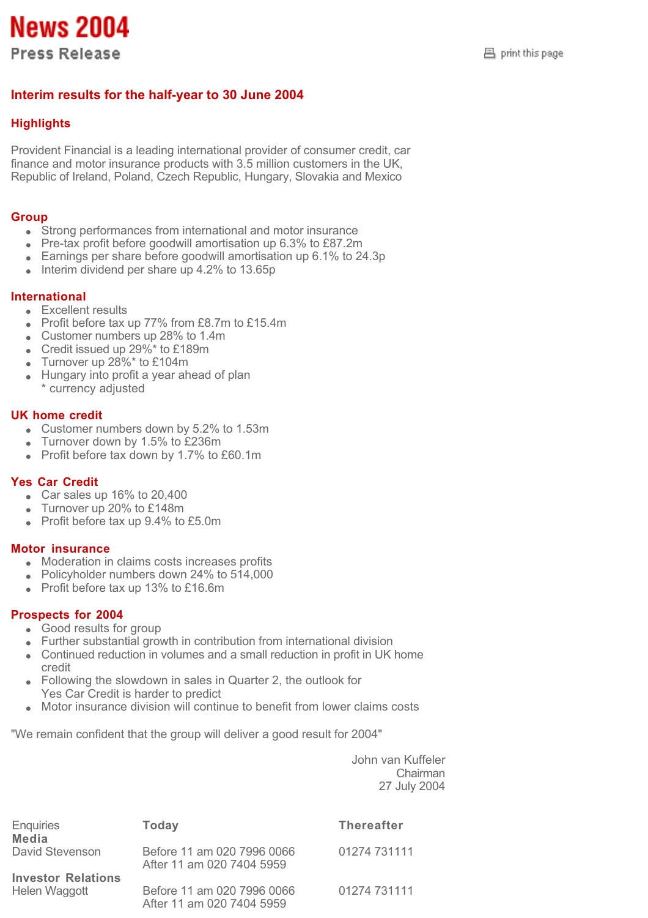**News 2004 Press Release** 

# **Interim results for the half-year to 30 June 2004**

# **Highlights**

Provident Financial is a leading international provider of consumer credit, car finance and motor insurance products with 3.5 million customers in the UK, Republic of Ireland, Poland, Czech Republic, Hungary, Slovakia and Mexico

# **Group**

- Strong performances from international and motor insurance
- Pre-tax profit before goodwill amortisation up 6.3% to £87.2m
- Earnings per share before goodwill amortisation up 6.1% to 24.3p
- $\bullet$  Interim dividend per share up 4.2% to 13.65p

# **International**

- **Excellent results**
- Profit before tax up 77% from £8.7m to £15.4m
- Customer numbers up 28% to 1.4m
- Credit issued up 29%\* to £189m
- Turnover up 28%\* to £104m  $\ddot{\phantom{a}}$
- Hungary into profit a year ahead of plan \* currency adjusted

# **UK home credit**

- Customer numbers down by 5.2% to 1.53m
- Turnover down by 1.5% to £236m
- Profit before tax down by 1.7% to £60.1m

#### **Yes Car Credit**

- Car sales up 16% to 20,400
- Turnover up 20% to £148m
- Profit before tax up 9.4% to £5.0m

#### **Motor insurance**

- Moderation in claims costs increases profits
- Policyholder numbers down 24% to 514,000
- Profit before tax up 13% to £16.6m

# **Prospects for 2004**

- Good results for group
- Further substantial growth in contribution from international division
- Continued reduction in volumes and a small reduction in profit in UK home credit
- Following the slowdown in sales in Quarter 2, the outlook for Yes Car Credit is harder to predict
- Motor insurance division will continue to benefit from lower claims costs

"We remain confident that the group will deliver a good result for 2004"

John van Kuffeler Chairman 27 July 2004

| <b>Enquiries</b><br>Media                  | <b>Today</b>                                            | <b>Thereafter</b> |
|--------------------------------------------|---------------------------------------------------------|-------------------|
| David Stevenson                            | Before 11 am 020 7996 0066<br>After 11 am 020 7404 5959 | 01274 731111      |
| <b>Investor Relations</b><br>Helen Waggott | Before 11 am 020 7996 0066<br>After 11 am 020 7404 5959 | 01274 731111      |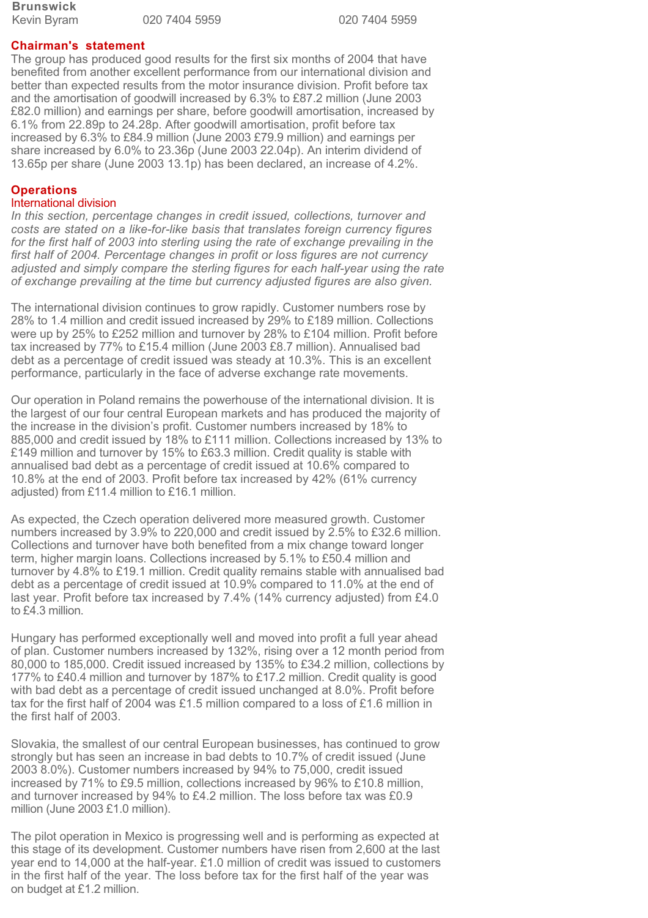**Brunswick**

020 7404 5959 020 7404 5959

### **Chairman's statement**

The group has produced good results for the first six months of 2004 that have benefited from another excellent performance from our international division and better than expected results from the motor insurance division. Profit before tax and the amortisation of goodwill increased by 6.3% to £87.2 million (June 2003 £82.0 million) and earnings per share, before goodwill amortisation, increased by 6.1% from 22.89p to 24.28p. After goodwill amortisation, profit before tax increased by 6.3% to £84.9 million (June 2003 £79.9 million) and earnings per share increased by 6.0% to 23.36p (June 2003 22.04p). An interim dividend of 13.65p per share (June 2003 13.1p) has been declared, an increase of 4.2%.

### **Operations**

#### International division

*In this section, percentage changes in credit issued, collections, turnover and costs are stated on a like-for-like basis that translates foreign currency figures for the first half of 2003 into sterling using the rate of exchange prevailing in the first half of 2004. Percentage changes in profit or loss figures are not currency adjusted and simply compare the sterling figures for each half-year using the rate of exchange prevailing at the time but currency adjusted figures are also given.*

The international division continues to grow rapidly. Customer numbers rose by 28% to 1.4 million and credit issued increased by 29% to £189 million. Collections were up by 25% to £252 million and turnover by 28% to £104 million. Profit before tax increased by 77% to £15.4 million (June 2003 £8.7 million). Annualised bad debt as a percentage of credit issued was steady at 10.3%. This is an excellent performance, particularly in the face of adverse exchange rate movements.

Our operation in Poland remains the powerhouse of the international division. It is the largest of our four central European markets and has produced the majority of the increase in the division's profit. Customer numbers increased by 18% to 885,000 and credit issued by 18% to £111 million. Collections increased by 13% to £149 million and turnover by 15% to £63.3 million. Credit quality is stable with annualised bad debt as a percentage of credit issued at 10.6% compared to 10.8% at the end of 2003. Profit before tax increased by 42% (61% currency adjusted) from £11.4 million to £16.1 million.

As expected, the Czech operation delivered more measured growth. Customer numbers increased by 3.9% to 220,000 and credit issued by 2.5% to £32.6 million. Collections and turnover have both benefited from a mix change toward longer term, higher margin loans. Collections increased by 5.1% to £50.4 million and turnover by 4.8% to £19.1 million. Credit quality remains stable with annualised bad debt as a percentage of credit issued at 10.9% compared to 11.0% at the end of last year. Profit before tax increased by 7.4% (14% currency adjusted) from £4.0 to £4.3 million.

Hungary has performed exceptionally well and moved into profit a full year ahead of plan. Customer numbers increased by 132%, rising over a 12 month period from 80,000 to 185,000. Credit issued increased by 135% to £34.2 million, collections by 177% to £40.4 million and turnover by 187% to £17.2 million. Credit quality is good with bad debt as a percentage of credit issued unchanged at 8.0%. Profit before tax for the first half of 2004 was £1.5 million compared to a loss of £1.6 million in the first half of 2003.

Slovakia, the smallest of our central European businesses, has continued to grow strongly but has seen an increase in bad debts to 10.7% of credit issued (June 2003 8.0%). Customer numbers increased by 94% to 75,000, credit issued increased by 71% to £9.5 million, collections increased by 96% to £10.8 million, and turnover increased by 94% to £4.2 million. The loss before tax was £0.9 million (June 2003 £1.0 million).

The pilot operation in Mexico is progressing well and is performing as expected at this stage of its development. Customer numbers have risen from 2,600 at the last year end to 14,000 at the half-year. £1.0 million of credit was issued to customers in the first half of the year. The loss before tax for the first half of the year was on budget at £1.2 million.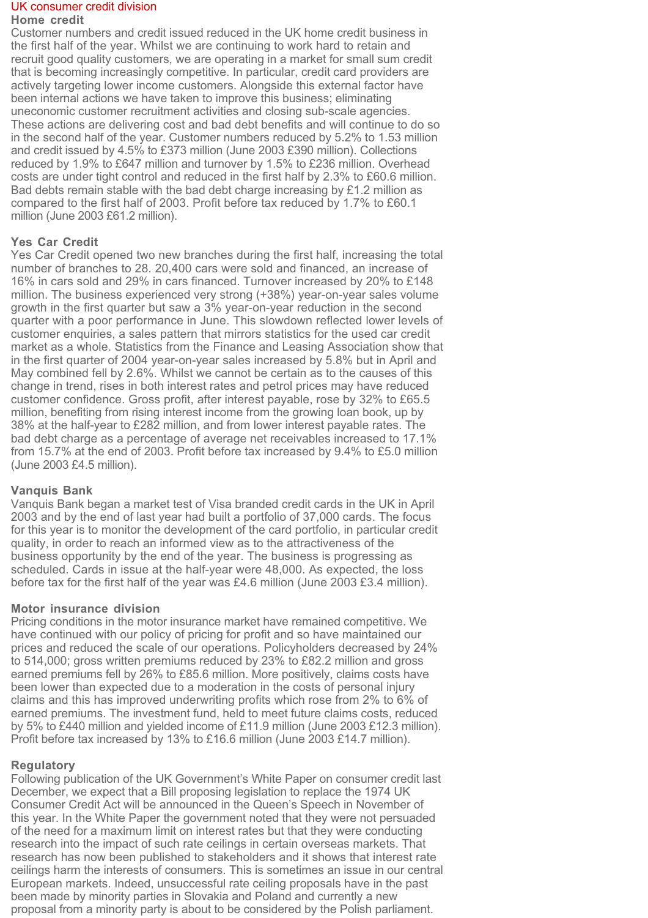# UK consumer credit division

#### **Home credit**

Customer numbers and credit issued reduced in the UK home credit business in the first half of the year. Whilst we are continuing to work hard to retain and recruit good quality customers, we are operating in a market for small sum credit that is becoming increasingly competitive. In particular, credit card providers are actively targeting lower income customers. Alongside this external factor have been internal actions we have taken to improve this business; eliminating uneconomic customer recruitment activities and closing sub-scale agencies. These actions are delivering cost and bad debt benefits and will continue to do so in the second half of the year. Customer numbers reduced by 5.2% to 1.53 million and credit issued by 4.5% to £373 million (June 2003 £390 million). Collections reduced by 1.9% to £647 million and turnover by 1.5% to £236 million. Overhead costs are under tight control and reduced in the first half by 2.3% to £60.6 million. Bad debts remain stable with the bad debt charge increasing by £1.2 million as compared to the first half of 2003. Profit before tax reduced by 1.7% to £60.1 million (June 2003 £61.2 million).

# **Yes Car Credit**

Yes Car Credit opened two new branches during the first half, increasing the total number of branches to 28. 20,400 cars were sold and financed, an increase of 16% in cars sold and 29% in cars financed. Turnover increased by 20% to £148 million. The business experienced very strong (+38%) year-on-year sales volume growth in the first quarter but saw a 3% year-on-year reduction in the second quarter with a poor performance in June. This slowdown reflected lower levels of customer enquiries, a sales pattern that mirrors statistics for the used car credit market as a whole. Statistics from the Finance and Leasing Association show that in the first quarter of 2004 year-on-year sales increased by 5.8% but in April and May combined fell by 2.6%. Whilst we cannot be certain as to the causes of this change in trend, rises in both interest rates and petrol prices may have reduced customer confidence. Gross profit, after interest payable, rose by 32% to £65.5 million, benefiting from rising interest income from the growing loan book, up by 38% at the half-year to £282 million, and from lower interest payable rates. The bad debt charge as a percentage of average net receivables increased to 17.1% from 15.7% at the end of 2003. Profit before tax increased by 9.4% to £5.0 million (June 2003 £4.5 million).

# **Vanquis Bank**

Vanquis Bank began a market test of Visa branded credit cards in the UK in April 2003 and by the end of last year had built a portfolio of 37,000 cards. The focus for this year is to monitor the development of the card portfolio, in particular credit quality, in order to reach an informed view as to the attractiveness of the business opportunity by the end of the year. The business is progressing as scheduled. Cards in issue at the half-year were 48,000. As expected, the loss before tax for the first half of the year was £4.6 million (June 2003 £3.4 million).

# **Motor insurance division**

Pricing conditions in the motor insurance market have remained competitive. We have continued with our policy of pricing for profit and so have maintained our prices and reduced the scale of our operations. Policyholders decreased by 24% to 514,000; gross written premiums reduced by 23% to £82.2 million and gross earned premiums fell by 26% to £85.6 million. More positively, claims costs have been lower than expected due to a moderation in the costs of personal injury claims and this has improved underwriting profits which rose from 2% to 6% of earned premiums. The investment fund, held to meet future claims costs, reduced by 5% to £440 million and yielded income of £11.9 million (June 2003 £12.3 million). Profit before tax increased by 13% to £16.6 million (June 2003 £14.7 million).

# **Regulatory**

Following publication of the UK Government's White Paper on consumer credit last December, we expect that a Bill proposing legislation to replace the 1974 UK Consumer Credit Act will be announced in the Queen's Speech in November of this year. In the White Paper the government noted that they were not persuaded of the need for a maximum limit on interest rates but that they were conducting research into the impact of such rate ceilings in certain overseas markets. That research has now been published to stakeholders and it shows that interest rate ceilings harm the interests of consumers. This is sometimes an issue in our central European markets. Indeed, unsuccessful rate ceiling proposals have in the past been made by minority parties in Slovakia and Poland and currently a new proposal from a minority party is about to be considered by the Polish parliament.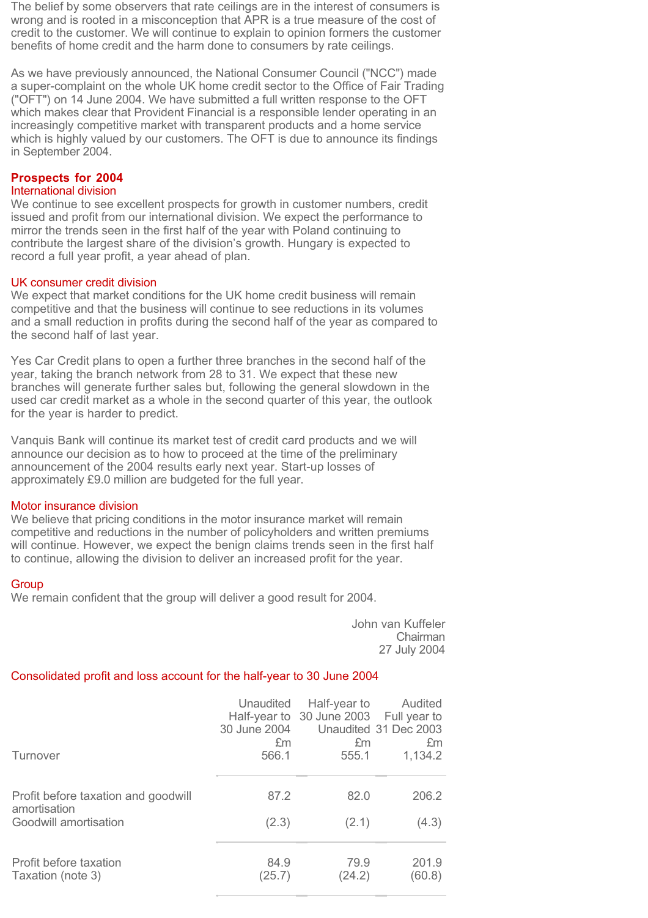The belief by some observers that rate ceilings are in the interest of consumers is wrong and is rooted in a misconception that APR is a true measure of the cost of credit to the customer. We will continue to explain to opinion formers the customer benefits of home credit and the harm done to consumers by rate ceilings.

As we have previously announced, the National Consumer Council ("NCC") made a super-complaint on the whole UK home credit sector to the Office of Fair Trading ("OFT") on 14 June 2004. We have submitted a full written response to the OFT which makes clear that Provident Financial is a responsible lender operating in an increasingly competitive market with transparent products and a home service which is highly valued by our customers. The OFT is due to announce its findings in September 2004.

# **Prospects for 2004**

#### International division

We continue to see excellent prospects for growth in customer numbers, credit issued and profit from our international division. We expect the performance to mirror the trends seen in the first half of the year with Poland continuing to contribute the largest share of the division's growth. Hungary is expected to record a full year profit, a year ahead of plan.

#### UK consumer credit division

We expect that market conditions for the UK home credit business will remain competitive and that the business will continue to see reductions in its volumes and a small reduction in profits during the second half of the year as compared to the second half of last year.

Yes Car Credit plans to open a further three branches in the second half of the year, taking the branch network from 28 to 31. We expect that these new branches will generate further sales but, following the general slowdown in the used car credit market as a whole in the second quarter of this year, the outlook for the year is harder to predict.

Vanquis Bank will continue its market test of credit card products and we will announce our decision as to how to proceed at the time of the preliminary announcement of the 2004 results early next year. Start-up losses of approximately £9.0 million are budgeted for the full year.

#### Motor insurance division

We believe that pricing conditions in the motor insurance market will remain competitive and reductions in the number of policyholders and written premiums will continue. However, we expect the benign claims trends seen in the first half to continue, allowing the division to deliver an increased profit for the year.

#### **Group**

We remain confident that the group will deliver a good result for 2004.

John van Kuffeler Chairman 27 July 2004

#### Consolidated profit and loss account for the half-year to 30 June 2004

|                                                     | Unaudited    | Half-year to                           | Audited               |
|-----------------------------------------------------|--------------|----------------------------------------|-----------------------|
|                                                     | 30 June 2004 | Half-year to 30 June 2003 Full year to | Unaudited 31 Dec 2003 |
| Turnover                                            | £m           | £m                                     | £m                    |
|                                                     | 566.1        | 555.1                                  | 1,134.2               |
| Profit before taxation and goodwill<br>amortisation | 87.2         | 82.0                                   | 206.2                 |
| Goodwill amortisation                               | (2.3)        | (2.1)                                  | (4.3)                 |
| Profit before taxation                              | 84.9         | 79.9                                   | 201.9                 |
| Taxation (note 3)                                   | (25.7)       | (24.2)                                 | (60.8)                |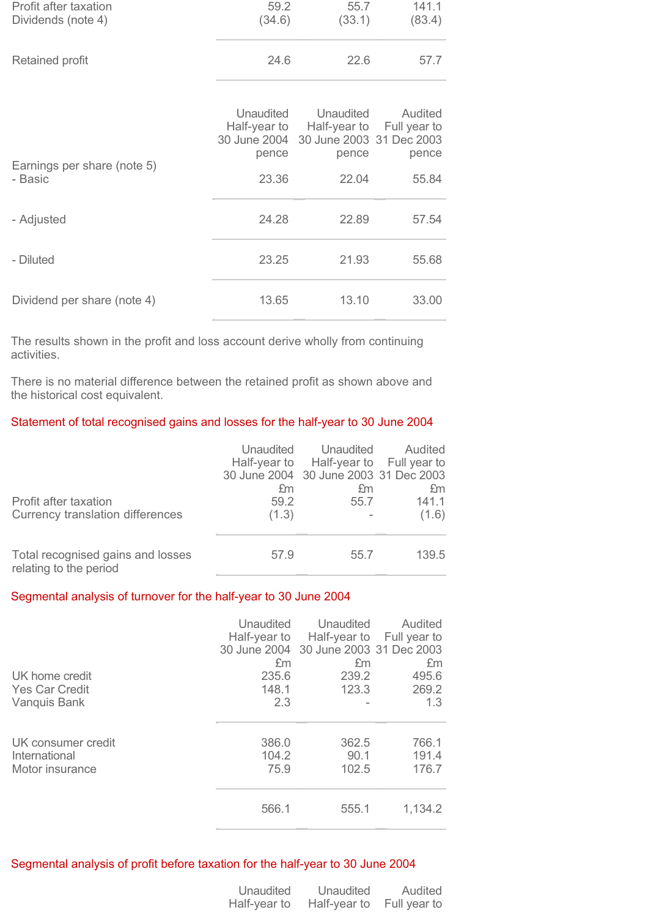| Profit after taxation<br>Dividends (note 4) | 59.2<br>(34.6)                     | 55.7<br>(33.1)                                                              | 141.1<br>(83.4)                  |
|---------------------------------------------|------------------------------------|-----------------------------------------------------------------------------|----------------------------------|
| Retained profit                             | 24.6                               | 22.6                                                                        | 57.7                             |
| Earnings per share (note 5)                 | Unaudited<br>Half-year to<br>pence | Unaudited<br>Half-year to<br>30 June 2004 30 June 2003 31 Dec 2003<br>pence | Audited<br>Full year to<br>pence |
| - Basic                                     | 23.36                              | 22.04                                                                       | 55.84                            |
| - Adjusted                                  | 24.28                              | 22.89                                                                       | 57.54                            |
| - Diluted                                   | 23.25                              | 21.93                                                                       | 55.68                            |
| Dividend per share (note 4)                 | 13.65                              | 13.10                                                                       | 33.00                            |

The results shown in the profit and loss account derive wholly from continuing activities.

There is no material difference between the retained profit as shown above and the historical cost equivalent.

# Statement of total recognised gains and losses for the half-year to 30 June 2004

| Profit after taxation<br>Currency translation differences   | £m<br>59.2<br>(1.3) | Unaudited Unaudited<br>Half-year to Half-year to Full year to<br>30 June 2004 30 June 2003 31 Dec 2003<br>£m<br>55.7 | Audited<br>£m<br>141.1<br>(1.6) |
|-------------------------------------------------------------|---------------------|----------------------------------------------------------------------------------------------------------------------|---------------------------------|
| Total recognised gains and losses<br>relating to the period | 57.9                | 55.7                                                                                                                 | 139.5                           |

# Segmental analysis of turnover for the half-year to 30 June 2004

|                       | Unaudited | Unaudited<br>Half-year to Half-year to | Audited<br>Full year to |
|-----------------------|-----------|----------------------------------------|-------------------------|
|                       |           | 30 June 2004 30 June 2003 31 Dec 2003  |                         |
|                       | £m        | £m                                     | £m                      |
| UK home credit        | 235.6     | 239.2                                  | 495.6                   |
| <b>Yes Car Credit</b> | 148.1     | 123.3                                  | 269.2                   |
| Vanquis Bank          | 2.3       |                                        | 1.3                     |
| UK consumer credit    | 386.0     | 362.5                                  | 766.1                   |
| International         | 104.2     | 90.1                                   | 191.4                   |
|                       |           |                                        |                         |
| Motor insurance       | 75.9      | 102.5                                  | 176.7                   |
|                       | 566.1     | 555.1                                  | 1,134.2                 |

#### Segmental analysis of profit before taxation for the half-year to 30 June 2004

| <b>Unaudited</b> | Unaudited    | Audited      |
|------------------|--------------|--------------|
| Half-year to     | Half-year to | Full year to |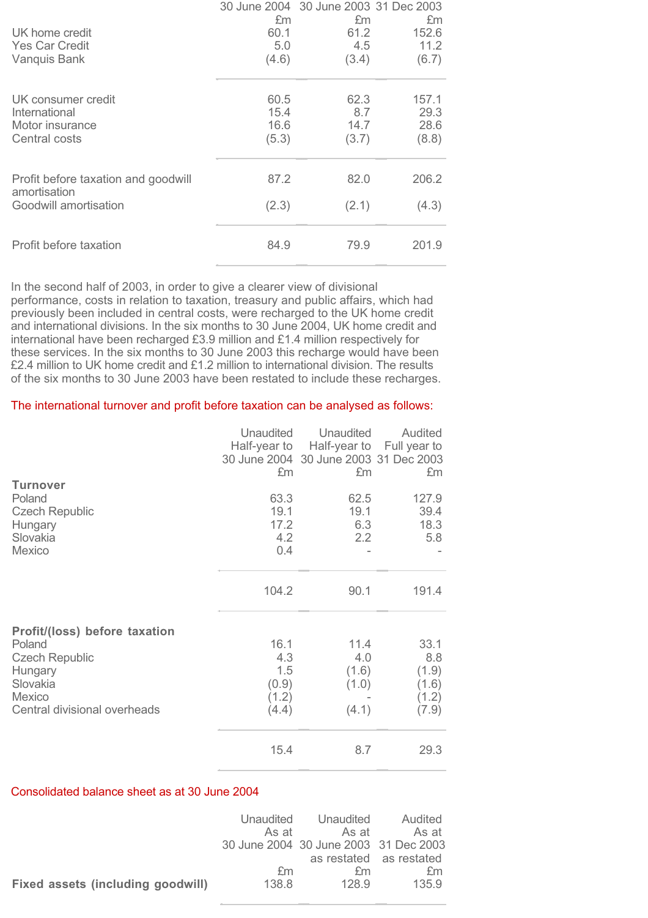| UK home credit<br><b>Yes Car Credit</b><br>Vanquis Bank                      | £m<br>60.1<br>5.0<br>(4.6)    | 30 June 2004 30 June 2003 31 Dec 2003<br>£m<br>61.2<br>4.5<br>(3.4) | £m<br>152.6<br>11.2<br>(6.7)   |
|------------------------------------------------------------------------------|-------------------------------|---------------------------------------------------------------------|--------------------------------|
| UK consumer credit<br>International<br>Motor insurance<br>Central costs      | 60.5<br>15.4<br>16.6<br>(5.3) | 62.3<br>8.7<br>14.7<br>(3.7)                                        | 157.1<br>29.3<br>28.6<br>(8.8) |
| Profit before taxation and goodwill<br>amortisation<br>Goodwill amortisation | 87.2<br>(2.3)                 | 82.0<br>(2.1)                                                       | 206.2<br>(4.3)                 |
| Profit before taxation                                                       | 84.9                          | 79.9                                                                | 201.9                          |

In the second half of 2003, in order to give a clearer view of divisional performance, costs in relation to taxation, treasury and public affairs, which had previously been included in central costs, were recharged to the UK home credit and international divisions. In the six months to 30 June 2004, UK home credit and international have been recharged £3.9 million and £1.4 million respectively for these services. In the six months to 30 June 2003 this recharge would have been £2.4 million to UK home credit and £1.2 million to international division. The results of the six months to 30 June 2003 have been restated to include these recharges.

### The international turnover and profit before taxation can be analysed as follows:

|                                                                                                                                          | Unaudited<br>Half-year to<br>£m               | Unaudited<br>30 June 2004 30 June 2003 31 Dec 2003<br>£m | Audited<br>Half-year to Full year to<br>£m      |
|------------------------------------------------------------------------------------------------------------------------------------------|-----------------------------------------------|----------------------------------------------------------|-------------------------------------------------|
| <b>Turnover</b><br>Poland<br><b>Czech Republic</b><br>Hungary<br>Slovakia<br><b>Mexico</b>                                               | 63.3<br>19.1<br>17.2<br>4.2<br>0.4            | 62.5<br>19.1<br>6.3<br>2.2                               | 127.9<br>39.4<br>18.3<br>5.8                    |
|                                                                                                                                          | 104.2                                         | 90.1                                                     | 191.4                                           |
| Profit/(loss) before taxation<br>Poland<br><b>Czech Republic</b><br>Hungary<br>Slovakia<br><b>Mexico</b><br>Central divisional overheads | 16.1<br>4.3<br>1.5<br>(0.9)<br>(1.2)<br>(4.4) | 11.4<br>4.0<br>(1.6)<br>(1.0)<br>(4.1)                   | 33.1<br>8.8<br>(1.9)<br>(1.6)<br>(1.2)<br>(7.9) |
|                                                                                                                                          | 15.4                                          | 8.7                                                      | 29.3                                            |

#### Consolidated balance sheet as at 30 June 2004

|                                   | Unaudited | Unaudited                             | Audited                 |
|-----------------------------------|-----------|---------------------------------------|-------------------------|
|                                   | As at     | As at                                 | - As at                 |
|                                   |           | 30 June 2004 30 June 2003 31 Dec 2003 |                         |
|                                   |           |                                       | as restated as restated |
|                                   | £m        | fm                                    | fm                      |
| Fixed assets (including goodwill) | 138.8     | 128.9                                 | 135.9                   |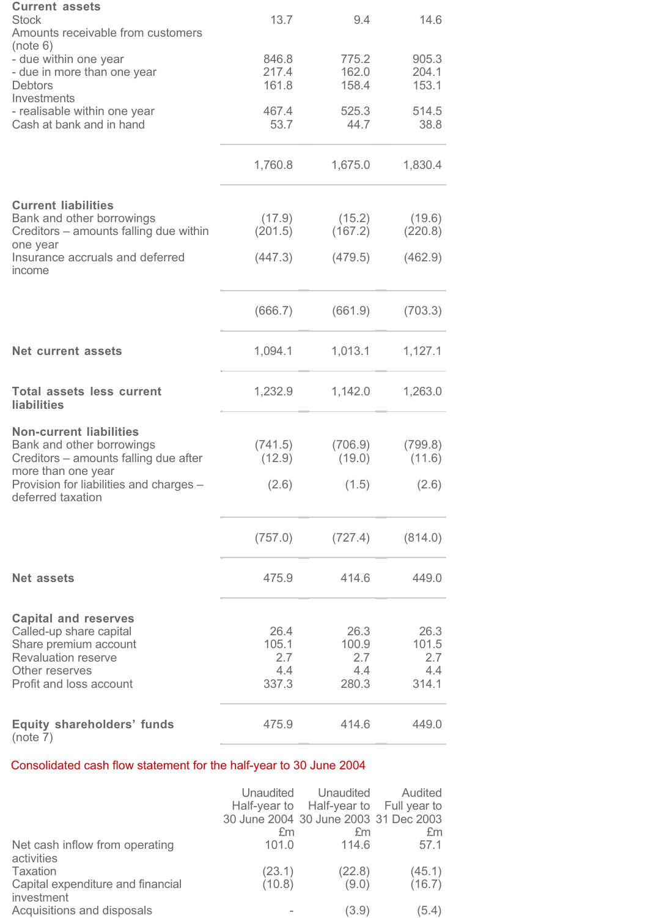| <b>Current assets</b><br><b>Stock</b><br>Amounts receivable from customers                        | 13.7                    | 9.4                     | 14.6                    |
|---------------------------------------------------------------------------------------------------|-------------------------|-------------------------|-------------------------|
| (note 6)<br>- due within one year<br>- due in more than one year<br><b>Debtors</b><br>Investments | 846.8<br>217.4<br>161.8 | 775.2<br>162.0<br>158.4 | 905.3<br>204.1<br>153.1 |
| - realisable within one year<br>Cash at bank and in hand                                          | 467.4<br>53.7           | 525.3<br>44.7           | 514.5<br>38.8           |
|                                                                                                   | 1,760.8                 | 1,675.0                 | 1,830.4                 |
| <b>Current liabilities</b><br>Bank and other borrowings                                           | (17.9)                  | (15.2)                  | (19.6)                  |
| Creditors - amounts falling due within<br>one year                                                | (201.5)                 | (167.2)                 | (220.8)                 |
| Insurance accruals and deferred<br>income                                                         | (447.3)                 | (479.5)                 | (462.9)                 |
|                                                                                                   | (666.7)                 | (661.9)                 | (703.3)                 |
| <b>Net current assets</b>                                                                         | 1,094.1                 | 1,013.1                 | 1,127.1                 |
| <b>Total assets less current</b><br>liabilities                                                   | 1,232.9                 | 1,142.0                 | 1,263.0                 |
| <b>Non-current liabilities</b>                                                                    |                         |                         |                         |
| Bank and other borrowings<br>Creditors – amounts falling due after<br>more than one year          | (741.5)<br>(12.9)       | (706.9)<br>(19.0)       | (799.8)<br>(11.6)       |
| Provision for liabilities and charges -<br>deferred taxation                                      | (2.6)                   | (1.5)                   | (2.6)                   |
|                                                                                                   | (757.0)                 | (727.4)                 | (814.0)                 |
| <b>Net assets</b>                                                                                 | 475.9                   | 414.6                   | 449.0                   |
|                                                                                                   |                         |                         |                         |
| <b>Capital and reserves</b><br>Called-up share capital                                            | 26.4                    | 26.3                    | 26.3                    |
| Share premium account                                                                             | 105.1                   | 100.9                   | 101.5                   |
| <b>Revaluation reserve</b>                                                                        | 2.7                     | 2.7<br>4.4              | 2.7<br>4.4              |
| Other reserves<br>Profit and loss account                                                         | 4.4<br>337.3            | 280.3                   | 314.1                   |
| <b>Equity shareholders' funds</b><br>(note 7)                                                     | 475.9                   | 414.6                   | 449.0                   |

# Consolidated cash flow statement for the half-year to 30 June 2004

|                                                 | 30 June 2004 30 June 2003 31 Dec 2003 | Unaudited Unaudited<br>Half-year to Half-year to Full year to | Audited |
|-------------------------------------------------|---------------------------------------|---------------------------------------------------------------|---------|
|                                                 | £m                                    | £m                                                            | £m      |
| Net cash inflow from operating<br>activities    | 101.0                                 | 114.6                                                         | 57.1    |
| Taxation                                        | (23.1)                                | (22.8)                                                        | (45.1)  |
| Capital expenditure and financial<br>investment | (10.8)                                | (9.0)                                                         | (16.7)  |
| Acquisitions and disposals                      |                                       | (3.9)                                                         | (5.4)   |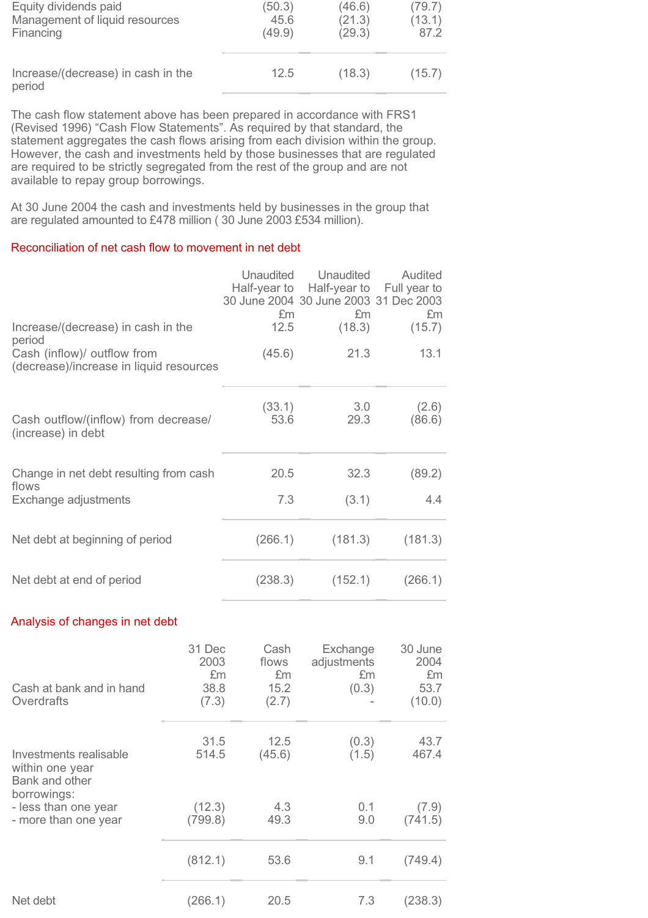| Equity dividends paid                        | (50.3) | (46.6) | (79.7) |
|----------------------------------------------|--------|--------|--------|
| Management of liquid resources               | 45.6   | (21.3) | (13.1) |
| Financing                                    | (49.9) | (29.3) | 87.2   |
| Increase/(decrease) in cash in the<br>period | 12.5   | (18.3) | (15.7) |

The cash flow statement above has been prepared in accordance with FRS1 (Revised 1996) "Cash Flow Statements". As required by that standard, the statement aggregates the cash flows arising from each division within the group. However, the cash and investments held by those businesses that are regulated are required to be strictly segregated from the rest of the group and are not available to repay group borrowings.

At 30 June 2004 the cash and investments held by businesses in the group that are regulated amounted to £478 million ( 30 June 2003 £534 million).

# Reconciliation of net cash flow to movement in net debt

|                                                                             | <b>Unaudited</b><br>£m | Unaudited<br>Half-year to Half-year to Full year to<br>30 June 2004 30 June 2003 31 Dec 2003<br>£m | Audited<br>£m   |
|-----------------------------------------------------------------------------|------------------------|----------------------------------------------------------------------------------------------------|-----------------|
| Increase/(decrease) in cash in the<br>period<br>Cash (inflow)/ outflow from | 12.5<br>(45.6)         | (18.3)<br>21.3                                                                                     | (15.7)<br>13.1  |
| (decrease)/increase in liquid resources                                     |                        |                                                                                                    |                 |
| Cash outflow/(inflow) from decrease/<br>(increase) in debt                  | (33.1)<br>53.6         | 3.0<br>29.3                                                                                        | (2.6)<br>(86.6) |
| Change in net debt resulting from cash<br>flows                             | 20.5                   | 32.3                                                                                               | (89.2)          |
| Exchange adjustments                                                        | 7.3                    | (3.1)                                                                                              | 4.4             |
| Net debt at beginning of period                                             | (266.1)                | (181.3)                                                                                            | (181.3)         |
| Net debt at end of period                                                   | (238.3)                | (152.1)                                                                                            | (266.1)         |

# Analysis of changes in net debt

| Cash at bank and in hand<br>Overdrafts                                     | 31 Dec<br>2003<br>£m<br>38.8<br>(7.3) | Cash<br>flows<br>£m<br>15.2<br>(2.7) | Exchange<br>adjustments<br>£m<br>(0.3) | 30 June<br>2004<br>£m<br>53.7<br>(10.0) |
|----------------------------------------------------------------------------|---------------------------------------|--------------------------------------|----------------------------------------|-----------------------------------------|
| Investments realisable<br>within one year<br>Bank and other<br>borrowings: | 31.5<br>514.5                         | 12.5<br>(45.6)                       | (0.3)<br>(1.5)                         | 43.7<br>467.4                           |
| - less than one year<br>- more than one year                               | (12.3)<br>(799.8)                     | 4.3<br>49.3                          | 0.1<br>9.0                             | (7.9)<br>(741.5)                        |
|                                                                            | (812.1)                               | 53.6                                 | 9.1                                    | (749.4)                                 |
| Net debt                                                                   | (266.1)                               | 20.5                                 | 7.3                                    | (238.3)                                 |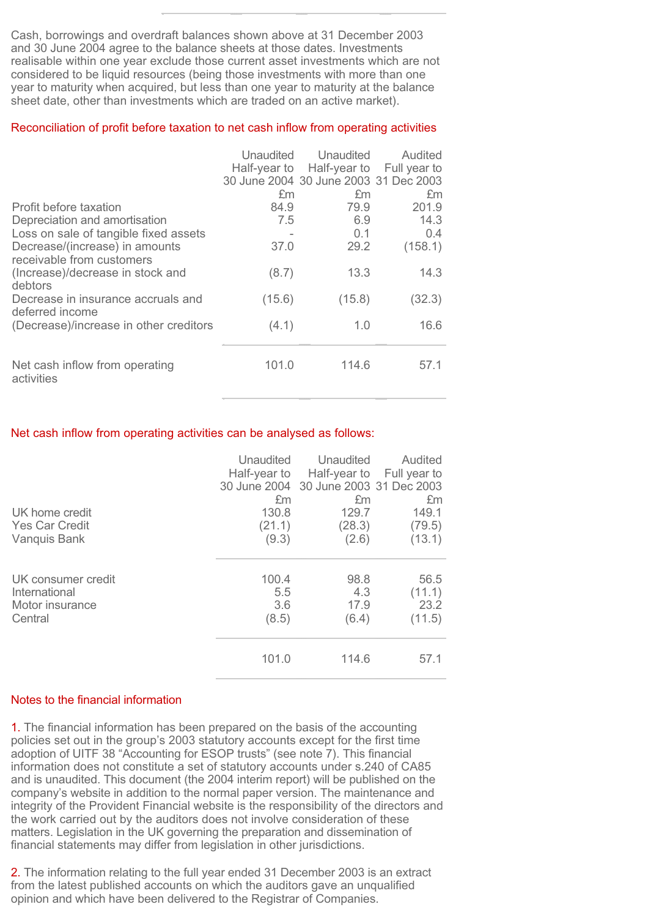Cash, borrowings and overdraft balances shown above at 31 December 2003 and 30 June 2004 agree to the balance sheets at those dates. Investments realisable within one year exclude those current asset investments which are not considered to be liquid resources (being those investments with more than one year to maturity when acquired, but less than one year to maturity at the balance sheet date, other than investments which are traded on an active market).

#### Reconciliation of profit before taxation to net cash inflow from operating activities

|                                                             | Unaudited | Unaudited                             | Audited      |
|-------------------------------------------------------------|-----------|---------------------------------------|--------------|
|                                                             |           | Half-year to Half-year to             | Full year to |
|                                                             |           | 30 June 2004 30 June 2003 31 Dec 2003 |              |
|                                                             | £m        | £m                                    | £m           |
| Profit before taxation                                      | 84.9      | 79.9                                  | 201.9        |
| Depreciation and amortisation                               | 7.5       | 6.9                                   | 14.3         |
| Loss on sale of tangible fixed assets                       |           | 0.1                                   | 0.4          |
| Decrease/(increase) in amounts<br>receivable from customers | 37.0      | 29.2                                  | (158.1)      |
| (Increase)/decrease in stock and<br>debtors                 | (8.7)     | 13.3                                  | 14.3         |
| Decrease in insurance accruals and<br>deferred income       | (15.6)    | (15.8)                                | (32.3)       |
| (Decrease)/increase in other creditors                      | (4.1)     | 1.0                                   | 16.6         |
| Net cash inflow from operating<br>activities                | 101.0     | 114.6                                 | 57.1         |

#### Net cash inflow from operating activities can be analysed as follows:

|                       | Unaudited | Unaudited<br>Half-year to Half-year to<br>30 June 2004 30 June 2003 31 Dec 2003 | Audited<br>Full year to |
|-----------------------|-----------|---------------------------------------------------------------------------------|-------------------------|
|                       | £m        | £m                                                                              | £m                      |
| UK home credit        | 130.8     | 129.7                                                                           | 149.1                   |
| <b>Yes Car Credit</b> | (21.1)    | (28.3)                                                                          | (79.5)                  |
| Vanquis Bank          | (9.3)     | (2.6)                                                                           | (13.1)                  |
|                       |           |                                                                                 |                         |
| UK consumer credit    | 100.4     | 98.8                                                                            | 56.5                    |
| International         | 5.5       | 4.3                                                                             | (11.1)                  |
| Motor insurance       | 3.6       | 17.9                                                                            | 23.2                    |
| Central               | (8.5)     | (6.4)                                                                           | (11.5)                  |
|                       |           |                                                                                 |                         |
|                       | 101.0     | 114.6                                                                           | 57.1                    |

# Notes to the financial information

**1.** The financial information has been prepared on the basis of the accounting policies set out in the group's 2003 statutory accounts except for the first time adoption of UITF 38 "Accounting for ESOP trusts" (see note 7). This financial information does not constitute a set of statutory accounts under s.240 of CA85 and is unaudited. This document (the 2004 interim report) will be published on the company's website in addition to the normal paper version. The maintenance and integrity of the Provident Financial website is the responsibility of the directors and the work carried out by the auditors does not involve consideration of these matters. Legislation in the UK governing the preparation and dissemination of financial statements may differ from legislation in other jurisdictions.

2. The information relating to the full year ended 31 December 2003 is an extract from the latest published accounts on which the auditors gave an unqualified opinion and which have been delivered to the Registrar of Companies.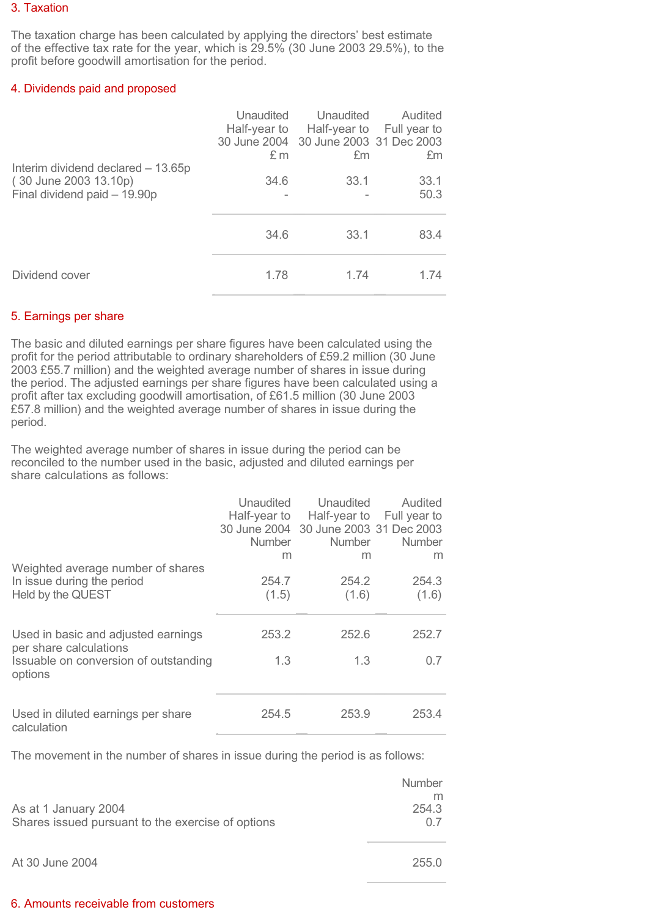#### 3. Taxation

The taxation charge has been calculated by applying the directors' best estimate of the effective tax rate for the year, which is 29.5% (30 June 2003 29.5%), to the profit before goodwill amortisation for the period.

#### 4. Dividends paid and proposed

|                                                                                             | Unaudited<br>£ m | Unaudited<br>Half-year to Half-year to Full year to<br>30 June 2004 30 June 2003 31 Dec 2003<br>£m | Audited<br>£m |
|---------------------------------------------------------------------------------------------|------------------|----------------------------------------------------------------------------------------------------|---------------|
| Interim dividend declared - 13.65p<br>(30 June 2003 13.10p)<br>Final dividend paid - 19.90p | 34.6             | 33.1                                                                                               | 33.1<br>50.3  |
|                                                                                             | 34.6             | 33.1                                                                                               | 83.4          |
| Dividend cover                                                                              | 1.78             | 1.74                                                                                               | 1.74          |

# 5. Earnings per share

The basic and diluted earnings per share figures have been calculated using the profit for the period attributable to ordinary shareholders of £59.2 million (30 June 2003 £55.7 million) and the weighted average number of shares in issue during the period. The adjusted earnings per share figures have been calculated using a profit after tax excluding goodwill amortisation, of £61.5 million (30 June 2003 £57.8 million) and the weighted average number of shares in issue during the period.

The weighted average number of shares in issue during the period can be reconciled to the number used in the basic, adjusted and diluted earnings per share calculations as follows:

|                                       | Unaudited     | Unaudited                             | Audited                   |
|---------------------------------------|---------------|---------------------------------------|---------------------------|
|                                       | Half-year to  |                                       | Half-year to Full year to |
|                                       |               | 30 June 2004 30 June 2003 31 Dec 2003 |                           |
|                                       | <b>Number</b> | <b>Number</b>                         | <b>Number</b>             |
|                                       | m             | m                                     | m                         |
| Weighted average number of shares     |               |                                       |                           |
| In issue during the period            | 254.7         | 254.2                                 | 254.3                     |
| Held by the QUEST                     | (1.5)         | (1.6)                                 | (1.6)                     |
|                                       |               |                                       |                           |
|                                       |               |                                       |                           |
| Used in basic and adjusted earnings   | 253.2         | 252.6                                 | 252.7                     |
| per share calculations                |               |                                       |                           |
| Issuable on conversion of outstanding | 1.3           | 1.3                                   | 0.7                       |
| options                               |               |                                       |                           |
|                                       |               |                                       |                           |
|                                       |               |                                       |                           |
| Used in diluted earnings per share    | 254.5         | 253.9                                 | 253.4                     |
| calculation                           |               |                                       |                           |

The movement in the number of shares in issue during the period is as follows:

|                                                   | <b>Number</b> |
|---------------------------------------------------|---------------|
|                                                   |               |
| As at 1 January 2004                              | 254.3         |
| Shares issued pursuant to the exercise of options | ()            |
|                                                   |               |
|                                                   |               |
| $A + 30$ lung $2004$                              | つらに ひ         |

# At 30 June 2004 255.0

#### 6. Amounts receivable from customers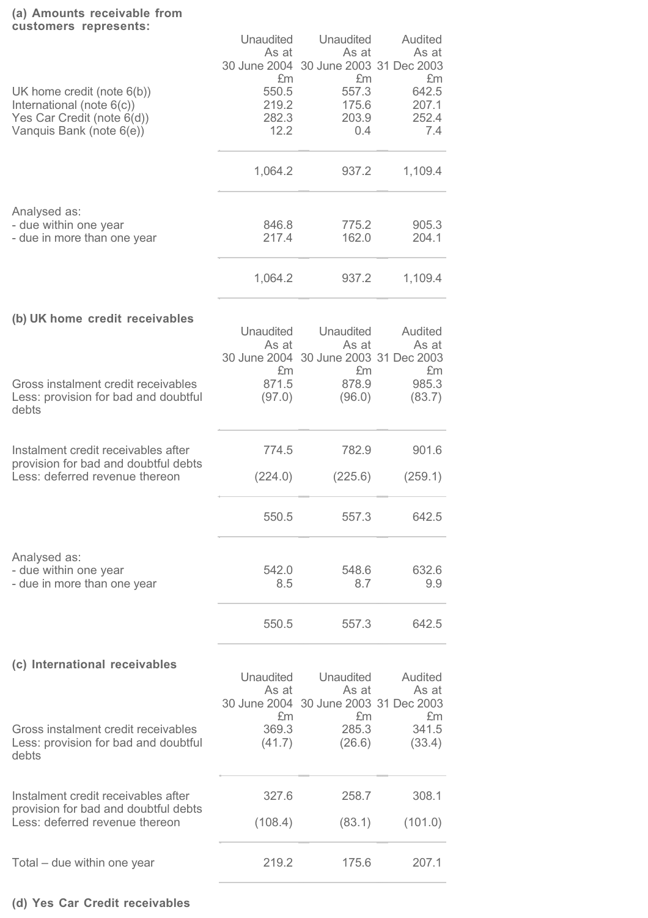# **(a) Amounts receivable from**

| customers represents:                                                                                                | Unaudited<br>As at                    | Unaudited<br>As at<br>30 June 2004 30 June 2003 31 Dec 2003              | Audited<br>As at                     |
|----------------------------------------------------------------------------------------------------------------------|---------------------------------------|--------------------------------------------------------------------------|--------------------------------------|
| UK home credit (note $6(b)$ )<br>International (note 6(c))<br>Yes Car Credit (note 6(d))<br>Vanquis Bank (note 6(e)) | £m<br>550.5<br>219.2<br>282.3<br>12.2 | £m<br>557.3<br>175.6<br>203.9<br>0.4                                     | £m<br>642.5<br>207.1<br>252.4<br>7.4 |
|                                                                                                                      | 1,064.2                               | 937.2                                                                    | 1,109.4                              |
| Analysed as:<br>- due within one year<br>- due in more than one year                                                 | 846.8<br>217.4                        | 775.2<br>162.0                                                           | 905.3<br>204.1                       |
|                                                                                                                      | 1,064.2                               | 937.2                                                                    | 1,109.4                              |
| (b) UK home credit receivables                                                                                       | Unaudited<br>As at<br>30 June 2004    | Unaudited<br>As at<br>30 June 2003 31 Dec 2003                           | Audited<br>As at                     |
| Gross instalment credit receivables<br>Less: provision for bad and doubtful<br>debts                                 | £m<br>871.5<br>(97.0)                 | £m<br>878.9<br>(96.0)                                                    | £m<br>985.3<br>(83.7)                |
| Instalment credit receivables after<br>provision for bad and doubtful debts<br>Less: deferred revenue thereon        | 774.5<br>(224.0)                      | 782.9<br>(225.6)                                                         | 901.6<br>(259.1)                     |
|                                                                                                                      | 550.5                                 | 557.3                                                                    | 642.5                                |
|                                                                                                                      |                                       |                                                                          |                                      |
| Analysed as:<br>- due within one year<br>- due in more than one year                                                 | 542.0<br>8.5                          | 548.6<br>8.7                                                             | 632.6<br>9.9                         |
|                                                                                                                      | 550.5                                 | 557.3                                                                    | 642.5                                |
| (c) International receivables                                                                                        | <b>Unaudited</b><br>As at<br>£m       | <b>Unaudited</b><br>As at<br>30 June 2004 30 June 2003 31 Dec 2003<br>£m | Audited<br>As at<br>£m               |
| Gross instalment credit receivables<br>Less: provision for bad and doubtful<br>debts                                 | 369.3<br>(41.7)                       | 285.3<br>(26.6)                                                          | 341.5<br>(33.4)                      |
| Instalment credit receivables after<br>provision for bad and doubtful debts<br>Less: deferred revenue thereon        | 327.6<br>(108.4)                      | 258.7<br>(83.1)                                                          | 308.1<br>(101.0)                     |
| Total – due within one year                                                                                          | 219.2                                 | 175.6                                                                    | 207.1                                |

# **(d) Yes Car Credit receivables**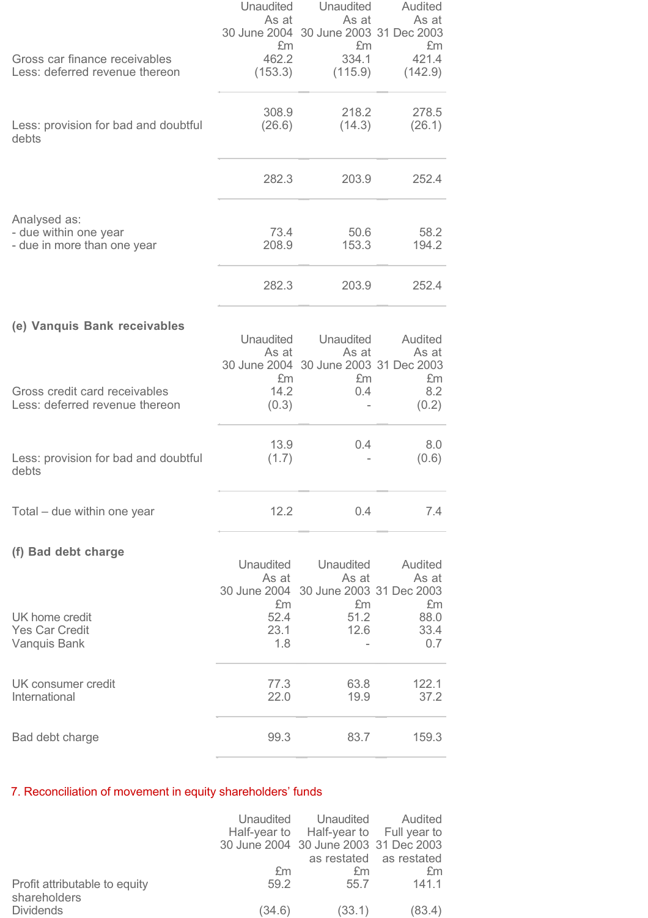|                                                                 | Unaudited                 | Unaudited                                      | Audited          |
|-----------------------------------------------------------------|---------------------------|------------------------------------------------|------------------|
|                                                                 | As at                     | As at<br>30 June 2004 30 June 2003 31 Dec 2003 | As at            |
|                                                                 | £m                        | £m                                             | £m               |
| Gross car finance receivables<br>Less: deferred revenue thereon | 462.2<br>(153.3)          | 334.1<br>(115.9)                               | 421.4<br>(142.9) |
|                                                                 |                           |                                                |                  |
|                                                                 | 308.9                     | 218.2                                          | 278.5            |
| Less: provision for bad and doubtful<br>debts                   | (26.6)                    | (14.3)                                         | (26.1)           |
|                                                                 |                           |                                                |                  |
|                                                                 | 282.3                     | 203.9                                          | 252.4            |
|                                                                 |                           |                                                |                  |
| Analysed as:                                                    | 73.4                      | 50.6                                           | 58.2             |
| - due within one year<br>- due in more than one year            | 208.9                     | 153.3                                          | 194.2            |
|                                                                 |                           |                                                |                  |
|                                                                 | 282.3                     | 203.9                                          | 252.4            |
|                                                                 |                           |                                                |                  |
| (e) Vanquis Bank receivables                                    | Unaudited                 | Unaudited                                      | Audited          |
|                                                                 | As at                     | As at                                          | As at            |
|                                                                 | £m                        | 30 June 2004 30 June 2003 31 Dec 2003<br>£m    | £m               |
| Gross credit card receivables                                   | 14.2                      | 0.4                                            | 8.2              |
| Less: deferred revenue thereon                                  | (0.3)                     |                                                | (0.2)            |
|                                                                 | 13.9                      | 0.4                                            | 8.0              |
| Less: provision for bad and doubtful                            | (1.7)                     |                                                | (0.6)            |
| debts                                                           |                           |                                                |                  |
| Total – due within one year                                     | 12.2                      | 0.4                                            | 7.4              |
|                                                                 |                           |                                                |                  |
| (f) Bad debt charge                                             |                           |                                                |                  |
|                                                                 | <b>Unaudited</b><br>As at | Unaudited<br>As at                             | Audited<br>As at |
|                                                                 |                           | 30 June 2004 30 June 2003 31 Dec 2003          |                  |
|                                                                 | £m                        | £m                                             | £m               |
| UK home credit<br><b>Yes Car Credit</b>                         | 52.4<br>23.1              | 51.2<br>12.6                                   | 88.0<br>33.4     |
| Vanquis Bank                                                    | 1.8                       |                                                | 0.7              |
|                                                                 |                           |                                                |                  |
| UK consumer credit<br>International                             | 77.3<br>22.0              | 63.8<br>19.9                                   | 122.1<br>37.2    |
|                                                                 |                           |                                                |                  |
| Bad debt charge                                                 | 99.3                      | 83.7                                           | 159.3            |

# 7. Reconciliation of movement in equity shareholders' funds

|                                               |        | Unaudited Unaudited Audited<br>Half-year to Half-year to Full year to<br>30 June 2004 30 June 2003 31 Dec 2003 |                         |
|-----------------------------------------------|--------|----------------------------------------------------------------------------------------------------------------|-------------------------|
|                                               |        |                                                                                                                | as restated as restated |
|                                               | £m     | £m                                                                                                             | £m                      |
| Profit attributable to equity<br>shareholders | 59.2   | 55.7                                                                                                           | 141.1                   |
| <b>Dividends</b>                              | (34.6) | (33.1)                                                                                                         | (83.4)                  |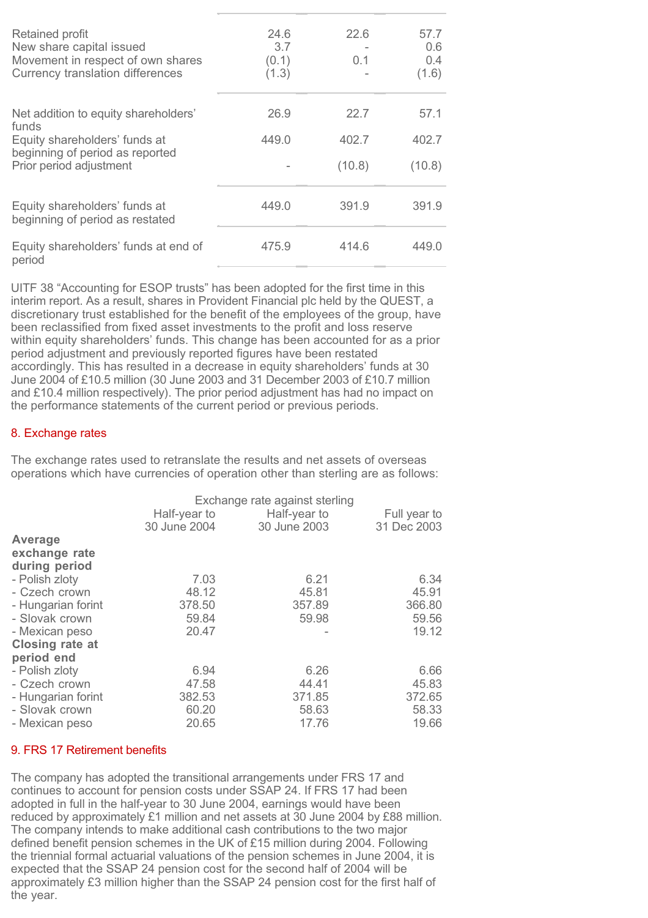| Retained profit<br>New share capital issued<br>Movement in respect of own shares<br><b>Currency translation differences</b> | 24.6<br>3.7<br>(0.1)<br>(1.3) | 22.6<br>0.1 | 57.7<br>0.6<br>0.4<br>(1.6) |
|-----------------------------------------------------------------------------------------------------------------------------|-------------------------------|-------------|-----------------------------|
| Net addition to equity shareholders'<br>funds                                                                               | 26.9                          | 22.7        | 57.1                        |
| Equity shareholders' funds at                                                                                               | 449.0                         | 402.7       | 402.7                       |
| beginning of period as reported<br>Prior period adjustment                                                                  |                               | (10.8)      | (10.8)                      |
| Equity shareholders' funds at<br>beginning of period as restated                                                            | 449.0                         | 391.9       | 391.9                       |
| Equity shareholders' funds at end of                                                                                        | 475.9                         | 414.6       | 449.0                       |
| period                                                                                                                      |                               |             |                             |

UITF 38 "Accounting for ESOP trusts" has been adopted for the first time in this interim report. As a result, shares in Provident Financial plc held by the QUEST, a discretionary trust established for the benefit of the employees of the group, have been reclassified from fixed asset investments to the profit and loss reserve within equity shareholders' funds. This change has been accounted for as a prior period adjustment and previously reported figures have been restated accordingly. This has resulted in a decrease in equity shareholders' funds at 30 June 2004 of £10.5 million (30 June 2003 and 31 December 2003 of £10.7 million and £10.4 million respectively). The prior period adjustment has had no impact on the performance statements of the current period or previous periods.

# 8. Exchange rates

The exchange rates used to retranslate the results and net assets of overseas operations which have currencies of operation other than sterling are as follows:

| Half-year to | Half-year to | Full year to                   |
|--------------|--------------|--------------------------------|
| 30 June 2004 | 30 June 2003 | 31 Dec 2003                    |
|              |              |                                |
|              |              |                                |
|              |              |                                |
| 7.03         | 6.21         | 6.34                           |
| 48.12        | 45.81        | 45.91                          |
| 378.50       | 357.89       | 366.80                         |
| 59.84        | 59.98        | 59.56                          |
| 20.47        |              | 19.12                          |
|              |              |                                |
|              |              |                                |
| 6.94         | 6.26         | 6.66                           |
| 47.58        | 44.41        | 45.83                          |
| 382.53       | 371.85       | 372.65                         |
| 60.20        | 58.63        | 58.33                          |
| 20.65        | 17.76        | 19.66                          |
|              |              | Exchange rate against sterling |

#### 9. FRS 17 Retirement benefits

The company has adopted the transitional arrangements under FRS 17 and continues to account for pension costs under SSAP 24. If FRS 17 had been adopted in full in the half-year to 30 June 2004, earnings would have been reduced by approximately £1 million and net assets at 30 June 2004 by £88 million. The company intends to make additional cash contributions to the two major defined benefit pension schemes in the UK of £15 million during 2004. Following the triennial formal actuarial valuations of the pension schemes in June 2004, it is expected that the SSAP 24 pension cost for the second half of 2004 will be approximately £3 million higher than the SSAP 24 pension cost for the first half of the year.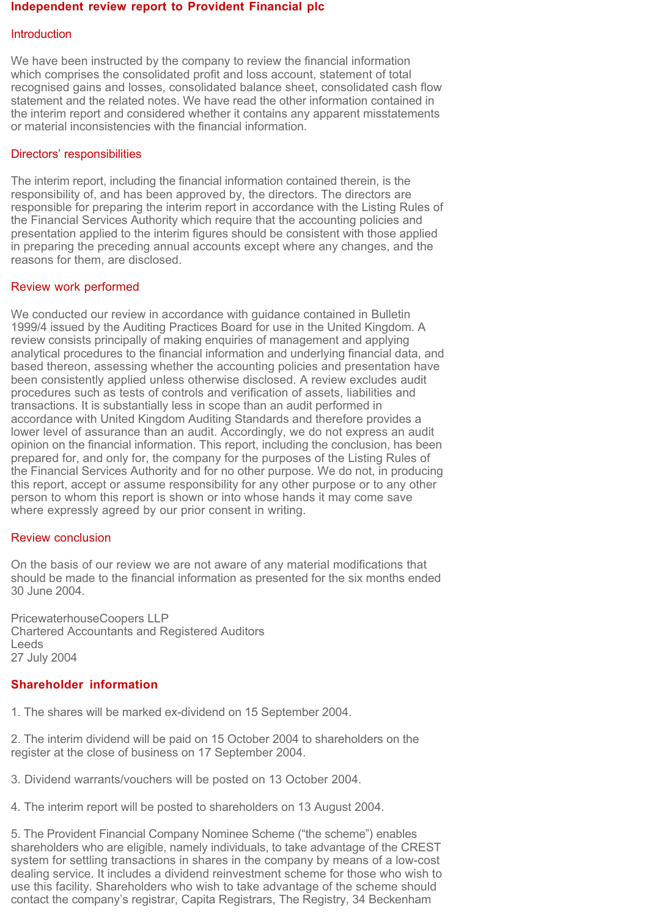#### **Independent review report to Provident Financial plc**

#### Introduction

We have been instructed by the company to review the financial information which comprises the consolidated profit and loss account, statement of total recognised gains and losses, consolidated balance sheet, consolidated cash flow statement and the related notes. We have read the other information contained in the interim report and considered whether it contains any apparent misstatements or material inconsistencies with the financial information.

### Directors' responsibilities

The interim report, including the financial information contained therein, is the responsibility of, and has been approved by, the directors. The directors are responsible for preparing the interim report in accordance with the Listing Rules of the Financial Services Authority which require that the accounting policies and presentation applied to the interim figures should be consistent with those applied in preparing the preceding annual accounts except where any changes, and the reasons for them, are disclosed.

# Review work performed

We conducted our review in accordance with guidance contained in Bulletin 1999/4 issued by the Auditing Practices Board for use in the United Kingdom. A review consists principally of making enquiries of management and applying analytical procedures to the financial information and underlying financial data, and based thereon, assessing whether the accounting policies and presentation have been consistently applied unless otherwise disclosed. A review excludes audit procedures such as tests of controls and verification of assets, liabilities and transactions. It is substantially less in scope than an audit performed in accordance with United Kingdom Auditing Standards and therefore provides a lower level of assurance than an audit. Accordingly, we do not express an audit opinion on the financial information. This report, including the conclusion, has been prepared for, and only for, the company for the purposes of the Listing Rules of the Financial Services Authority and for no other purpose. We do not, in producing this report, accept or assume responsibility for any other purpose or to any other person to whom this report is shown or into whose hands it may come save where expressly agreed by our prior consent in writing.

#### Review conclusion

On the basis of our review we are not aware of any material modifications that should be made to the financial information as presented for the six months ended 30 June 2004.

PricewaterhouseCoopers LLP Chartered Accountants and Registered Auditors Leeds 27 July 2004

# **Shareholder information**

1. The shares will be marked ex-dividend on 15 September 2004.

2. The interim dividend will be paid on 15 October 2004 to shareholders on the register at the close of business on 17 September 2004.

3. Dividend warrants/vouchers will be posted on 13 October 2004.

4. The interim report will be posted to shareholders on 13 August 2004.

5. The Provident Financial Company Nominee Scheme ("the scheme") enables shareholders who are eligible, namely individuals, to take advantage of the CREST system for settling transactions in shares in the company by means of a low-cost dealing service. It includes a dividend reinvestment scheme for those who wish to use this facility. Shareholders who wish to take advantage of the scheme should contact the company's registrar, Capita Registrars, The Registry, 34 Beckenham